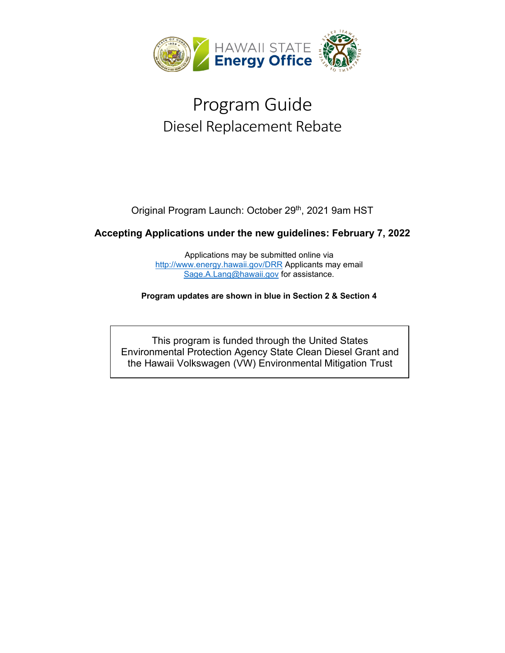

# Program Guide Diesel Replacement Rebate

Original Program Launch: October 29<sup>th</sup>, 2021 9am HST

### **Accepting Applications under the new guidelines: February 7, 2022**

Applications may be submitted online via <http://www.energy.hawaii.gov/DRR> Applicants may email [Sage.A.Lang@hawaii.gov](mailto:Sage.A.Lang@hawaii.gov) for assistance.

**Program updates are shown in blue in Section 2 & Section 4**

This program is funded through the United States Environmental Protection Agency State Clean Diesel Grant and the Hawaii Volkswagen (VW) Environmental Mitigation Trust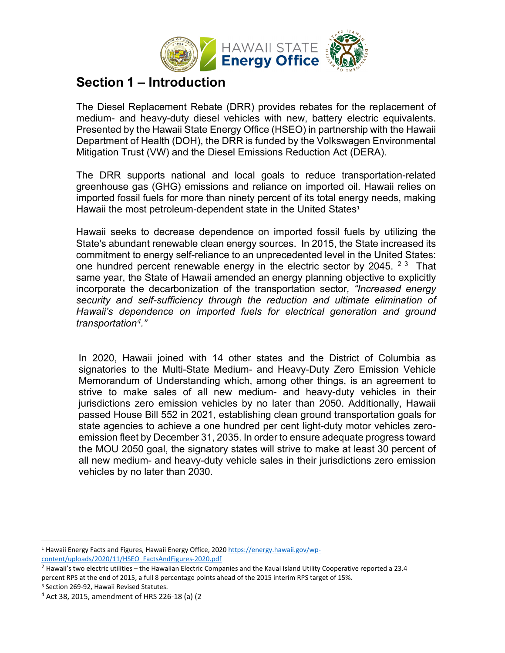

### **Section 1 – Introduction**

The Diesel Replacement Rebate (DRR) provides rebates for the replacement of medium- and heavy-duty diesel vehicles with new, battery electric equivalents. Presented by the Hawaii State Energy Office (HSEO) in partnership with the Hawaii Department of Health (DOH), the DRR is funded by the Volkswagen Environmental Mitigation Trust (VW) and the Diesel Emissions Reduction Act (DERA).

The DRR supports national and local goals to reduce transportation-related greenhouse gas (GHG) emissions and reliance on imported oil. Hawaii relies on imported fossil fuels for more than ninety percent of its total energy needs, making Hawaii the most petroleum-dependent state in the United States<sup>[1](#page-1-0)</sup>

Hawaii seeks to decrease dependence on imported fossil fuels by utilizing the State's abundant renewable clean energy sources. In 2015, the State increased its commitment to energy self-reliance to an unprecedented level in the United States: one hundred percent renewable energy in the electric sector by [2](#page-1-1)045. <sup>23</sup> That same year, the State of Hawaii amended an energy planning objective to explicitly incorporate the decarbonization of the transportation sector*, "Increased energy security and self-sufficiency through the reduction and ultimate elimination of Hawaii's dependence on imported fuels for electrical generation and ground transportation[4.](#page-1-3)"*

In 2020, Hawaii joined with 14 other states and the District of Columbia as signatories to the Multi-State Medium- and Heavy-Duty Zero Emission Vehicle Memorandum of Understanding which, among other things, is an agreement to strive to make sales of all new medium- and heavy-duty vehicles in their jurisdictions zero emission vehicles by no later than 2050. Additionally, Hawaii passed House Bill 552 in 2021, establishing clean ground transportation goals for state agencies to achieve a one hundred per cent light-duty motor vehicles zeroemission fleet by December 31, 2035. In order to ensure adequate progress toward the MOU 2050 goal, the signatory states will strive to make at least 30 percent of all new medium- and heavy-duty vehicle sales in their jurisdictions zero emission vehicles by no later than 2030.

<span id="page-1-0"></span><sup>1</sup> Hawaii Energy Facts and Figures, Hawaii Energy Office, 2020 [https://energy.hawaii.gov/wp](https://energy.hawaii.gov/wp-content/uploads/2020/11/HSEO_FactsAndFigures-2020.pdf)[content/uploads/2020/11/HSEO\\_FactsAndFigures-2020.pdf](https://energy.hawaii.gov/wp-content/uploads/2020/11/HSEO_FactsAndFigures-2020.pdf)

<span id="page-1-1"></span> $2$  Hawaii's two electric utilities – the Hawaiian Electric Companies and the Kauai Island Utility Cooperative reported a 23.4 percent RPS at the end of 2015, a full 8 percentage points ahead of the 2015 interim RPS target of 15%.

<span id="page-1-3"></span><span id="page-1-2"></span><sup>&</sup>lt;sup>3</sup> Section 269-92, Hawaii Revised Statutes.<br><sup>4</sup> Act 38, 2015, amendment of HRS 226-18 (a) (2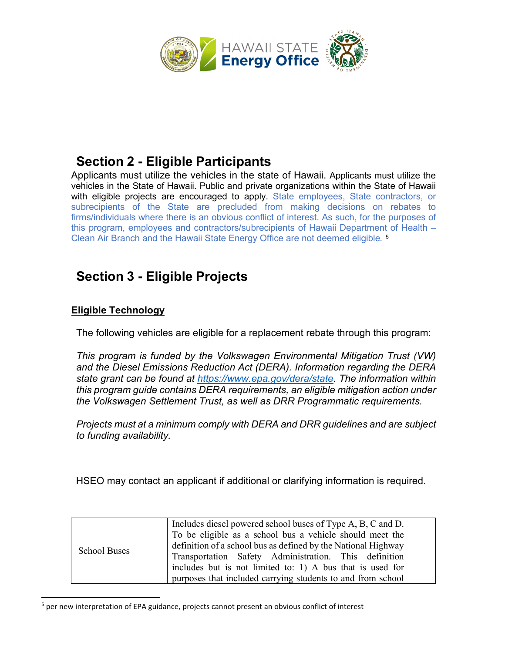

# **Section 2 - Eligible Participants**

Applicants must utilize the vehicles in the state of Hawaii. Applicants must utilize the vehicles in the State of Hawaii. Public and private organizations within the State of Hawaii with eligible projects are encouraged to apply. State employees, State contractors, or subrecipients of the State are precluded from making decisions on rebates to firms/individuals where there is an obvious conflict of interest. As such, for the purposes of this program, employees and contractors/subrecipients of Hawaii Department of Health – Clean Air Branch and the Hawaii State Energy Office are not deemed eligible*.* [5](#page-2-0)

# **Section 3 - Eligible Projects**

### **Eligible Technology**

The following vehicles are eligible for a replacement rebate through this program:

*This program is funded by the Volkswagen Environmental Mitigation Trust (VW) and the Diesel Emissions Reduction Act (DERA). Information regarding the DERA state grant can be found at [https://www.epa.gov/dera/state.](https://www.epa.gov/dera/state) The information within this program guide contains DERA requirements, an eligible mitigation action under the Volkswagen Settlement Trust, as well as DRR Programmatic requirements.* 

*Projects must at a minimum comply with DERA and DRR guidelines and are subject to funding availability.*

HSEO may contact an applicant if additional or clarifying information is required.

| <b>School Buses</b> | Includes diesel powered school buses of Type A, B, C and D.<br>To be eligible as a school bus a vehicle should meet the<br>definition of a school bus as defined by the National Highway<br>Transportation Safety Administration. This definition<br>includes but is not limited to: 1) A bus that is used for<br>purposes that included carrying students to and from school |
|---------------------|-------------------------------------------------------------------------------------------------------------------------------------------------------------------------------------------------------------------------------------------------------------------------------------------------------------------------------------------------------------------------------|
|---------------------|-------------------------------------------------------------------------------------------------------------------------------------------------------------------------------------------------------------------------------------------------------------------------------------------------------------------------------------------------------------------------------|

<span id="page-2-0"></span><sup>&</sup>lt;sup>5</sup> per new interpretation of EPA guidance, projects cannot present an obvious conflict of interest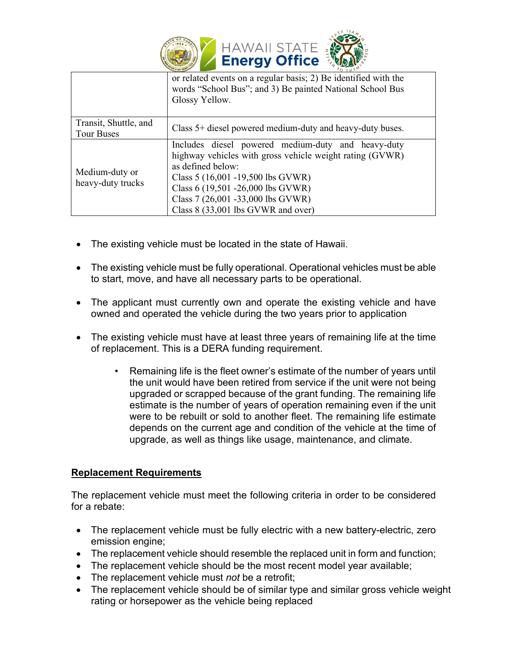

|                                     | 'Q TVA'                                                                                                                                                                                                       |
|-------------------------------------|---------------------------------------------------------------------------------------------------------------------------------------------------------------------------------------------------------------|
|                                     | or related events on a regular basis; 2) Be identified with the<br>words "School Bus"; and 3) Be painted National School Bus<br>Glossy Yellow.                                                                |
| Transit, Shuttle, and               |                                                                                                                                                                                                               |
| <b>Tour Buses</b>                   | Class 5+ diesel powered medium-duty and heavy-duty buses.                                                                                                                                                     |
|                                     |                                                                                                                                                                                                               |
| Medium-duty or<br>heavy-duty trucks | Includes diesel powered medium-duty and heavy-duty<br>highway vehicles with gross vehicle weight rating (GVWR)<br>as defined below:<br>Class 5 (16,001 -19,500 lbs GVWR)<br>Class 6 (19,501 -26,000 lbs GVWR) |
|                                     | Class 7 (26,001 -33,000 lbs GVWR)                                                                                                                                                                             |
|                                     | Class 8 (33,001 lbs GVWR and over)                                                                                                                                                                            |

- The existing vehicle must be located in the state of Hawaii.
- The existing vehicle must be fully operational. Operational vehicles must be able to start, move, and have all necessary parts to be operational.
- The applicant must currently own and operate the existing vehicle and have owned and operated the vehicle during the two years prior to application
- The existing vehicle must have at least three years of remaining life at the time of replacement. This is a DERA funding requirement.
	- Remaining life is the fleet owner's estimate of the number of years until the unit would have been retired from service if the unit were not being upgraded or scrapped because of the grant funding. The remaining life estimate is the number of years of operation remaining even if the unit were to be rebuilt or sold to another fleet. The remaining life estimate depends on the current age and condition of the vehicle at the time of upgrade, as well as things like usage, maintenance, and climate.

### **Replacement Requirements**

The replacement vehicle must meet the following criteria in order to be considered for a rebate:

- The replacement vehicle must be fully electric with a new battery-electric, zero emission engine;
- The replacement vehicle should resemble the replaced unit in form and function;
- The replacement vehicle should be the most recent model year available;
- The replacement vehicle must *not* be a retrofit;
- The replacement vehicle should be of similar type and similar gross vehicle weight rating or horsepower as the vehicle being replaced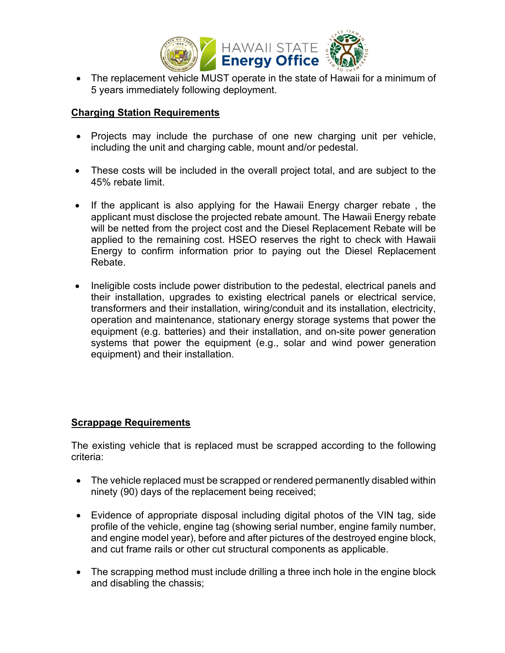

• The replacement vehicle MUST operate in the state of Hawaii for a minimum of 5 years immediately following deployment.

#### **Charging Station Requirements**

- Projects may include the purchase of one new charging unit per vehicle, including the unit and charging cable, mount and/or pedestal.
- These costs will be included in the overall project total, and are subject to the 45% rebate limit.
- If the applicant is also applying for the Hawaii Energy charger rebate , the applicant must disclose the projected rebate amount. The Hawaii Energy rebate will be netted from the project cost and the Diesel Replacement Rebate will be applied to the remaining cost. HSEO reserves the right to check with Hawaii Energy to confirm information prior to paying out the Diesel Replacement Rebate.
- Ineligible costs include power distribution to the pedestal, electrical panels and their installation, upgrades to existing electrical panels or electrical service, transformers and their installation, wiring/conduit and its installation, electricity, operation and maintenance, stationary energy storage systems that power the equipment (e.g. batteries) and their installation, and on-site power generation systems that power the equipment (e.g., solar and wind power generation equipment) and their installation.

### **Scrappage Requirements**

The existing vehicle that is replaced must be scrapped according to the following criteria:

- The vehicle replaced must be scrapped or rendered permanently disabled within ninety (90) days of the replacement being received;
- Evidence of appropriate disposal including digital photos of the VIN tag, side profile of the vehicle, engine tag (showing serial number, engine family number, and engine model year), before and after pictures of the destroyed engine block, and cut frame rails or other cut structural components as applicable.
- The scrapping method must include drilling a three inch hole in the engine block and disabling the chassis;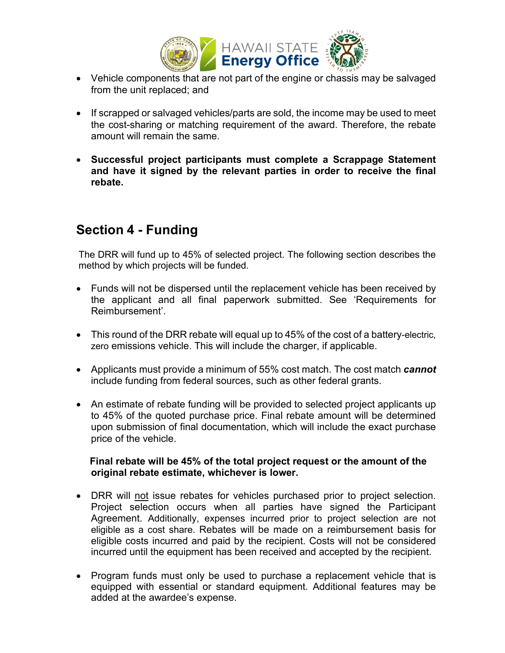

- Vehicle components that are not part of the engine or chassis may be salvaged from the unit replaced; and
- If scrapped or salvaged vehicles/parts are sold, the income may be used to meet the cost-sharing or matching requirement of the award. Therefore, the rebate amount will remain the same.
- **Successful project participants must complete a Scrappage Statement and have it signed by the relevant parties in order to receive the final rebate.**

### **Section 4 - Funding**

The DRR will fund up to 45% of selected project. The following section describes the method by which projects will be funded.

- Funds will not be dispersed until the replacement vehicle has been received by the applicant and all final paperwork submitted. See 'Requirements for Reimbursement'.
- This round of the DRR rebate will equal up to 45% of the cost of a battery-electric, zero emissions vehicle. This will include the charger, if applicable.
- Applicants must provide a minimum of 55% cost match. The cost match *cannot* include funding from federal sources, such as other federal grants.
- An estimate of rebate funding will be provided to selected project applicants up to 45% of the quoted purchase price. Final rebate amount will be determined upon submission of final documentation, which will include the exact purchase price of the vehicle.

#### **Final rebate will be 45% of the total project request or the amount of the original rebate estimate, whichever is lower.**

- DRR will not issue rebates for vehicles purchased prior to project selection. Project selection occurs when all parties have signed the Participant Agreement. Additionally, expenses incurred prior to project selection are not eligible as a cost share. Rebates will be made on a reimbursement basis for eligible costs incurred and paid by the recipient. Costs will not be considered incurred until the equipment has been received and accepted by the recipient.
- Program funds must only be used to purchase a replacement vehicle that is equipped with essential or standard equipment. Additional features may be added at the awardee's expense.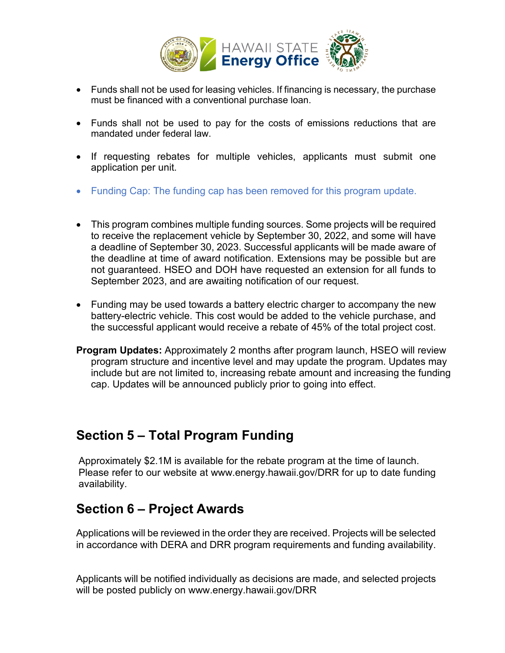

- Funds shall not be used for leasing vehicles. If financing is necessary, the purchase must be financed with a conventional purchase loan.
- Funds shall not be used to pay for the costs of emissions reductions that are mandated under federal law.
- If requesting rebates for multiple vehicles, applicants must submit one application per unit.
- Funding Cap: The funding cap has been removed for this program update.
- This program combines multiple funding sources. Some projects will be required to receive the replacement vehicle by September 30, 2022, and some will have a deadline of September 30, 2023. Successful applicants will be made aware of the deadline at time of award notification. Extensions may be possible but are not guaranteed. HSEO and DOH have requested an extension for all funds to September 2023, and are awaiting notification of our request.
- Funding may be used towards a battery electric charger to accompany the new battery-electric vehicle. This cost would be added to the vehicle purchase, and the successful applicant would receive a rebate of 45% of the total project cost.
- **Program Updates:** Approximately 2 months after program launch, HSEO will review program structure and incentive level and may update the program. Updates may include but are not limited to, increasing rebate amount and increasing the funding cap. Updates will be announced publicly prior to going into effect.

### **Section 5 – Total Program Funding**

Approximately \$2.1M is available for the rebate program at the time of launch. Please refer to our website at www.energy.hawaii.gov/DRR for up to date funding availability.

# **Section 6 – Project Awards**

Applications will be reviewed in the order they are received. Projects will be selected in accordance with DERA and DRR program requirements and funding availability.

Applicants will be notified individually as decisions are made, and selected projects will be posted publicly on www.energy.hawaii.gov/DRR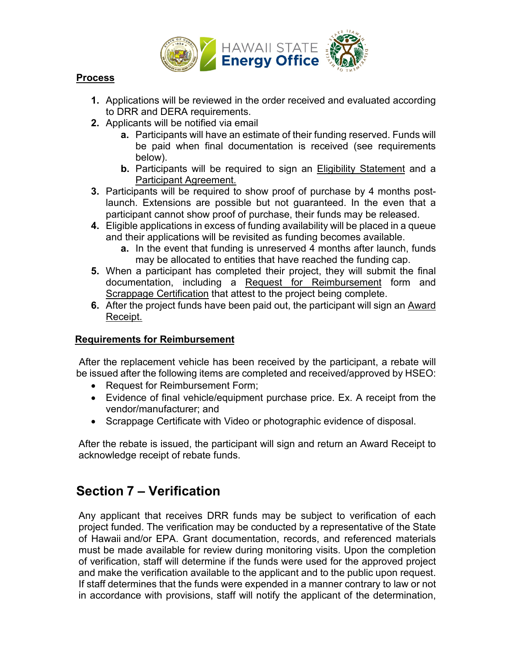

#### **Process**

- **1.** Applications will be reviewed in the order received and evaluated according to DRR and DERA requirements.
- **2.** Applicants will be notified via email
	- **a.** Participants will have an estimate of their funding reserved. Funds will be paid when final documentation is received (see requirements below).
	- **b.** Participants will be required to sign an Eligibility Statement and a Participant Agreement.
- **3.** Participants will be required to show proof of purchase by 4 months postlaunch. Extensions are possible but not guaranteed. In the even that a participant cannot show proof of purchase, their funds may be released.
- **4.** Eligible applications in excess of funding availability will be placed in a queue and their applications will be revisited as funding becomes available.
	- **a.** In the event that funding is unreserved 4 months after launch, funds may be allocated to entities that have reached the funding cap.
- **5.** When a participant has completed their project, they will submit the final documentation, including a Request for Reimbursement form and Scrappage Certification that attest to the project being complete.
- **6.** After the project funds have been paid out, the participant will sign an Award Receipt.

### **Requirements for Reimbursement**

After the replacement vehicle has been received by the participant, a rebate will be issued after the following items are completed and received/approved by HSEO:

- Request for Reimbursement Form;
- Evidence of final vehicle/equipment purchase price. Ex. A receipt from the vendor/manufacturer; and
- Scrappage Certificate with Video or photographic evidence of disposal.

After the rebate is issued, the participant will sign and return an Award Receipt to acknowledge receipt of rebate funds.

# **Section 7 – Verification**

Any applicant that receives DRR funds may be subject to verification of each project funded. The verification may be conducted by a representative of the State of Hawaii and/or EPA. Grant documentation, records, and referenced materials must be made available for review during monitoring visits. Upon the completion of verification, staff will determine if the funds were used for the approved project and make the verification available to the applicant and to the public upon request. If staff determines that the funds were expended in a manner contrary to law or not in accordance with provisions, staff will notify the applicant of the determination,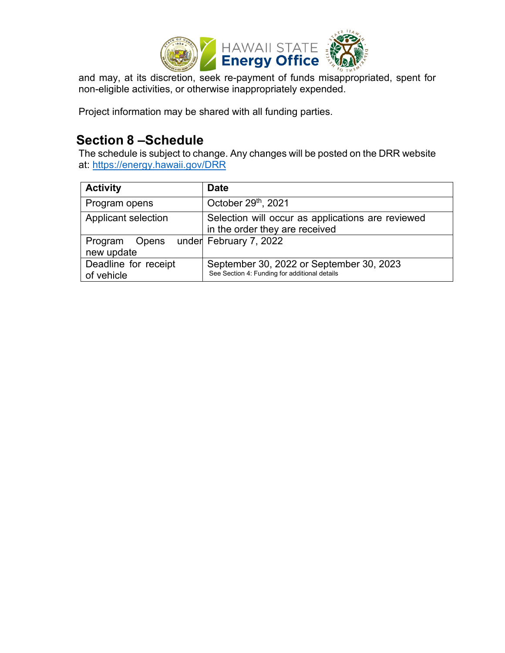

and may, at its discretion, seek re-payment of funds misappropriated, spent for non-eligible activities, or otherwise inappropriately expended.

Project information may be shared with all funding parties.

### **Section 8 –Schedule**

The schedule is subject to change. Any changes will be posted on the DRR website at: [https://energy.hawaii.gov/DRR](https://energy.hawaii.gov/DRR%E2%80%8E)

| <b>Activity</b>                    | <b>Date</b>                                                                               |
|------------------------------------|-------------------------------------------------------------------------------------------|
| Program opens                      | October 29th, 2021                                                                        |
| Applicant selection                | Selection will occur as applications are reviewed<br>in the order they are received       |
| Program<br>new update              | Opens under February 7, 2022                                                              |
| Deadline for receipt<br>of vehicle | September 30, 2022 or September 30, 2023<br>See Section 4: Funding for additional details |